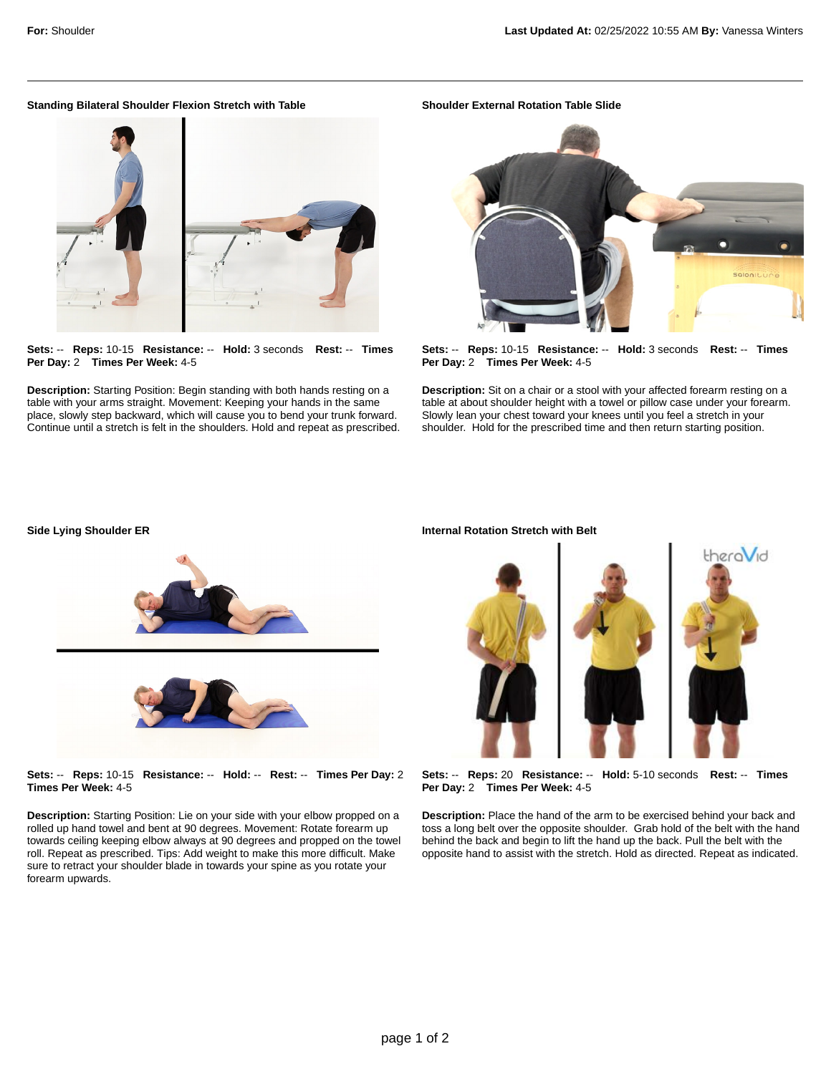## **Standing Bilateral Shoulder Flexion Stretch with Table**

**Sets:** -- **Reps:** 10-15 **Resistance:** -- **Hold:** 3 seconds **Rest:** -- **Times Per Day:** 2 **Times Per Week:** 4-5

**Description:** Starting Position: Begin standing with both hands resting on a table with your arms straight. Movement: Keeping your hands in the same place, slowly step backward, which will cause you to bend your trunk forward. Continue until a stretch is felt in the shoulders. Hold and repeat as prescribed. **Shoulder External Rotation Table Slide**



**Sets:** -- **Reps:** 10-15 **Resistance:** -- **Hold:** 3 seconds **Rest:** -- **Times Per Day:** 2 **Times Per Week:** 4-5

**Description:** Sit on a chair or a stool with your affected forearm resting on a table at about shoulder height with a towel or pillow case under your forearm. Slowly lean your chest toward your knees until you feel a stretch in your shoulder. Hold for the prescribed time and then return starting position.



**Sets:** -- **Reps:** 10-15 **Resistance:** -- **Hold:** -- **Rest:** -- **Times Per Day:** 2 **Times Per Week:** 4-5

**Description:** Starting Position: Lie on your side with your elbow propped on a rolled up hand towel and bent at 90 degrees. Movement: Rotate forearm up towards ceiling keeping elbow always at 90 degrees and propped on the towel roll. Repeat as prescribed. Tips: Add weight to make this more difficult. Make sure to retract your shoulder blade in towards your spine as you rotate your forearm upwards.

## **Internal Rotation Stretch with Belt**



**Sets:** -- **Reps:** 20 **Resistance:** -- **Hold:** 5-10 seconds **Rest:** -- **Times Per Day:** 2 **Times Per Week:** 4-5

**Description:** Place the hand of the arm to be exercised behind your back and toss a long belt over the opposite shoulder. Grab hold of the belt with the hand behind the back and begin to lift the hand up the back. Pull the belt with the opposite hand to assist with the stretch. Hold as directed. Repeat as indicated.